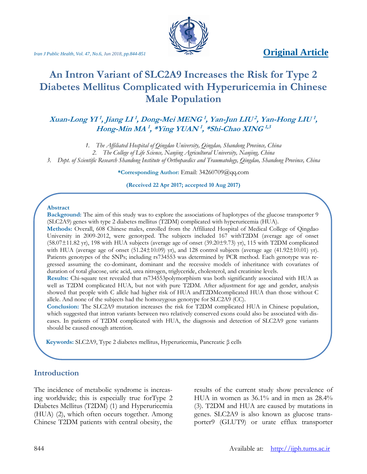# *Iran J Public Health, Vol. 47, No.6, Jun 2018, pp.844-851* **Original Article**



# **An Intron Variant of SLC2A9 Increases the Risk for Type 2 Diabetes Mellitus Complicated with Hyperuricemia in Chinese Male Population**

### **Xuan-Long YI 1 , Jiang LI 1 , Dong-Mei MENG 1 , Yan-Jun LIU<sup>2</sup> , Yan-Hong LIU 1 , Hong-Min MA 1 , \*Ying YUAN<sup>1</sup> , \*Shi-Chao XING1,3**

*1. The Affiliated Hospital of Qingdao University, Qingdao, Shandong Province, China*

*3. Dept. of Scientific Research Shandong Institute of Orthopaedics and Traumatology, Qingdao, Shandong Province, China*

**\*Corresponding Author:** Email: 34260709@qq.com

**(Received 22 Apr 2017; accepted 10 Aug 2017)**

#### **Abstract**

**Background:** The aim of this study was to explore the associations of haplotypes of the glucose transporter 9 (SLC2A9) genes with type 2 diabetes mellitus (T2DM) complicated with hyperuricemia (HUA).

**Methods:** Overall, 608 Chinese males, enrolled from the Affiliated Hospital of Medical College of Qingdao University in 2009-2012, were genotyped. The subjects included 167 withT2DM (average age of onset (58.07±11.82 yr), 198 with HUA subjects (average age of onset (39.20±9.73) yr), 115 with T2DM complicated with HUA (average age of onset (51.24±10.09) yr), and 128 control subjects (average age (41.92±10.01) yr). Patients genotypes of the SNPs; including rs734553 was determined by PCR method. Each genotype was regressed assuming the co-dominant, dominant and the recessive models of inheritance with covariates of duration of total glucose, uric acid, urea nitrogen, triglyceride, cholesterol, and creatinine levels.

**Results:** Chi-square test revealed that rs734553polymorphism was both significantly associated with HUA as well as T2DM complicated HUA, but not with pure T2DM. After adjustment for age and gender, analysis showed that people with C allele had higher risk of HUA andT2DMcomplicated HUA than those without C allele. And none of the subjects had the homozygous genotype for SLC2A9 (CC).

**Conclusion:** The SLC2A9 mutation increases the risk for T2DM complicated HUA in Chinese population, which suggested that intron variants between two relatively conserved exons could also be associated with diseases. In patients of T2DM complicated with HUA, the diagnosis and detection of SLC2A9 gene variants should be caused enough attention.

 **Keywords:** SLC2A9, Type 2 diabetes mellitus, Hyperuricemia, Pancreatic β cells

#### **Introduction**

The incidence of metabolic syndrome is increasing worldwide; this is especially true forType 2 Diabetes Mellitus (T2DM) (1) and Hyperuricemia (HUA) (2), which often occurs together. Among Chinese T2DM patients with central obesity, the results of the current study show prevalence of HUA in women as 36.1% and in men as 28.4% (3). T2DM and HUA are caused by mutations in genes. SLC2A9 is also known as glucose transporter9 (GLUT9) or urate efflux transporter

*<sup>2.</sup> The College of Life Science, Nanjing Agricultural University, Nanjing, China*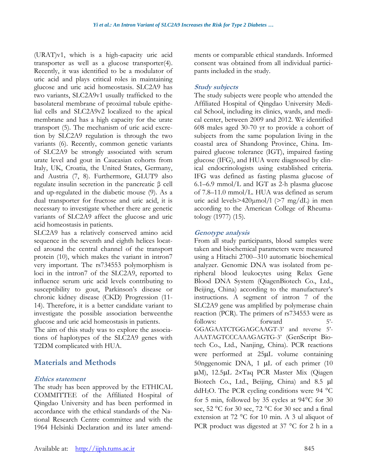(URAT)v1, which is a high-capacity uric acid transporter as well as a glucose transporter(4). Recently, it was identified to be a modulator of uric acid and plays critical roles in maintaining glucose and uric acid homeostasis. SLC2A9 has two variants, SLC2A9v1 usually trafficked to the basolateral membrane of proximal tubule epithelial cells and SLC2A9v2 localized to the apical membrane and has a high capacity for the urate transport (5). The mechanism of uric acid excretion by SLC2A9 regulation is through the two variants (6). Recently, common genetic variants of SLC2A9 be strongly associated with serum urate level and gout in Caucasian cohorts from Italy, UK, Croatia, the United States, Germany, and Austria (7, 8). Furthermore, GLUT9 also regulate insulin secretion in the pancreatic β cell and up-regulated in the diabetic mouse (9). As a dual transporter for fructose and uric acid, it is necessary to investigate whether there are genetic variants of SLC2A9 affect the glucose and uric acid homeostasis in patients.

SLC2A9 has a relatively conserved amino acid sequence in the seventh and eighth helices located around the central channel of the transport protein (10), which makes the variant in intron7 very important. The rs734553 polymorphism is loci in the intron7 of the SLC2A9, reported to influence serum uric acid levels contributing to susceptibility to gout, Parkinson's disease or chronic kidney disease (CKD) Progression (11- 14). Therefore, it is a better candidate variant to investigate the possible association betweenthe glucose and uric acid homeostasis in patients.

The aim of this study was to explore the associations of haplotypes of the SLC2A9 genes with T2DM complicated with HUA.

# **Materials and Methods**

#### **Ethics statement**

The study has been approved by the ETHICAL COMMITTEE of the Affiliated Hospital of Qingdao University and has been performed in accordance with the ethical standards of the National Research Centre committee and with the 1964 Helsinki Declaration and its later amendments or comparable ethical standards. Informed consent was obtained from all individual participants included in the study.

## **Study subjects**

The study subjects were people who attended the Affiliated Hospital of Qingdao University Medical School, including its clinics, wards, and medical center, between 2009 and 2012. We identified 608 males aged 30-70 yr to provide a cohort of subjects from the same population living in the coastal area of Shandong Province, China. Impaired glucose tolerance (IGT), impaired fasting glucose (IFG), and HUA were diagnosed by clinical endocrinologists using established criteria. IFG was defined as fasting plasma glucose of 6.1–6.9 mmol/L and IGT as 2-h plasma glucose of 7.8–11.0 mmol/L. HUA was defined as serum uric acid levels $>420 \mu$ mol/l ( $>7$  mg/dL) in men according to the American College of Rheumatology (1977) (15).

### **Genotype analysis**

From all study participants, blood samples were taken and biochemical parameters were measured using a Hitachi 2700--310 automatic biochemical analyzer. Genomic DNA was isolated from peripheral blood leukocytes using Relax Gene Blood DNA System (QiagenBiotech Co., Ltd., Beijing, China) according to the manufacturer's instructions. A segment of intron 7 of the SLC2A9 gene was amplified by polymerase chain reaction (PCR). The primers of rs734553 were as follows: forward 5'-GGAGAATCTGGAGCAAGT-3' and reverse 5'- AAATAGTCCCAAAGAGTG-3' (GenScript Biotech Co., Ltd., Nanjing, China). PCR reactions were performed at 25µL volume containing 50nggenomic DNA, 1  $\mu$ L of each primer (10) µM), 12.5µL 2×Taq PCR Master Mix (Qiagen Biotech Co., Ltd., Beijing, China) and 8.5 µl ddH<sub>2</sub>O. The PCR cycling conditions were 94  $^{\circ}$ C for 5 min, followed by 35 cycles at  $94^{\circ}$ C for 30 sec,  $52 \text{ °C}$  for 30 sec,  $72 \text{ °C}$  for 30 sec and a final extension at 72 °C for 10 min. A 3 ul aliquot of PCR product was digested at  $37^{\circ}$ C for 2 h in a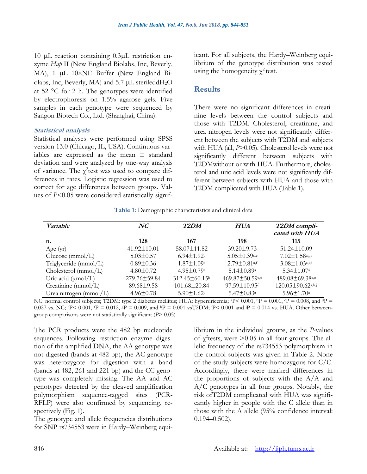10 µL reaction containing 0.3µL restriction enzyme *Hap* II (New England Biolabs, Inc, Beverly, MA), 1 µL 10×NE Buffer (New England Biolabs, Inc, Beverly, MA) and 5.7  $\mu$ L steriledd $H_2O$ at 52  $\degree$ C for 2 h. The genotypes were identified by electrophoresis on 1.5% agarose gels. Five samples in each genotype were sequenced by Sangon Biotech Co., Ltd. (Shanghai, China).

#### **Statistical analysis**

Statistical analyses were performed using SPSS version 13.0 (Chicago, IL, USA). Continuous variables are expressed as the mean  $\pm$  standard deviation and were analyzed by one-way analysis of variance. The  $\chi^2$ test was used to compare differences in rates. Logistic regression was used to correct for age differences between groups. Values of *P*<0.05 were considered statistically significant. For all subjects, the Hardy–Weinberg equilibrium of the genotype distribution was tested using the homogeneity  $\chi^2$  test.

#### **Results**

There were no significant differences in creatinine levels between the control subjects and those with T2DM. Cholesterol, creatinine, and urea nitrogen levels were not significantly different between the subjects with T2DM and subjects with HUA (all,  $P>0.05$ ). Cholesterol levels were not significantly different between subjects with T2DMwithout or with HUA. Furthermore, cholesterol and uric acid levels were not significantly different between subjects with HUA and those with T2DM complicated with HUA (Table 1).

**Table 1:** Demographic characteristics and clinical data

| <i>Variable</i>                | NC                | T2DM                         | <b>HUA</b>                     | T2DM compli-<br>cated with HUA    |
|--------------------------------|-------------------|------------------------------|--------------------------------|-----------------------------------|
| n.                             | 128               | 167                          | 198                            | 115                               |
| Age $(yr)$                     | $41.92 \pm 10.01$ | 58.07±11.82                  | $39.20 \pm 9.73$               | $51.24 \pm 10.09$                 |
| Glucose $(mmol/L)$             | $5.03 \pm 0.57$   | $6.94 \pm 1.92$ <sup>a</sup> | $5.05 \pm 0.39$ <sub>c,e</sub> | $7.02 \pm 1.58$ a,g,i             |
| Triglyceride (mmol/L)          | $0.89 \pm 0.36$   | $1.87 \pm 1.09^{\circ}$      | $2.79 \pm 0.81$ a,f            | $3.08 \pm 1.03$ <sub>a,e,i</sub>  |
| Cholesterol (mmol/L)           | $4.80 \pm 0.72$   | $4.95 \pm 0.79$ <sup>a</sup> | $5.14 \pm 0.89$ <sup>a</sup>   | $5.34 \pm 1.07$ <sup>a</sup>      |
| Uric acid $(\mu \text{mol/L})$ | 279.76±59.84      | $312.45 \pm 60.15^{\circ}$   | 469.87 $\pm$ 50.59a,e          | $489.08 \pm 69.38$ <sub>a,e</sub> |
| Creatinine ( $mmol/L$ )        | $89.68 \pm 9.58$  | 101.68±20.84                 | 97.59±10.95d                   | $120.05 \pm 90.62$ a,h,j          |
| Urea nitrogen (mmol/L)         | $4.96 \pm 0.78$   | $5.90 \pm 1.62$ <sup>a</sup> | $5.47 \pm 0.83$ <sup>a</sup>   | $5.96 \pm 1.70$ <sup>a</sup>      |

NC: normal control subjects; T2DM: type 2 diabetes mellitus; HUA: hyperuricemia; <sup>a</sup>P< 0.001, <sup>b</sup>P = 0.001, <sup>c</sup>P = 0.008, and <sup>d</sup>P = 0.027 vs. NC;  $P \le 0.001$ ,  $P = 0.012$ ,  $sP = 0.009$ , and  $P = 0.001$  vsT2DM;  $P \le 0.001$  and  $P = 0.014$  vs. HUA. Other betweengroup comparisons were not statistically significant (*P*> 0.05)

The PCR products were the 482 bp nucleotide sequences. Following restriction enzyme digestion of the amplified DNA, the AA genotype was not digested (bands at 482 bp), the AC genotype was heterozygote for digestion with a band (bands at 482, 261 and 221 bp) and the CC genotype was completely missing. The AA and AC genotypes detected by the cleaved amplification polymorphism sequence-tagged sites (PCR-RFLP) were also confirmed by sequencing, respectively (Fig. 1).

The genotype and allele frequencies distributions for SNP rs734553 were in Hardy–Weinberg equilibrium in the individual groups, as the *P*-values of  $\chi^2$  tests, were  $> 0.05$  in all four groups. The allelic frequency of the rs734553 polymorphism in the control subjects was given in Table 2. None of the study subjects were homozygous for C/C. Accordingly, there were marked differences in the proportions of subjects with the  $A/A$  and A/C genotypes in all four groups. Notably, the risk ofT2DM complicated with HUA was significantly higher in people with the C allele than in those with the A allele (95% confidence interval: 0.194–0.502).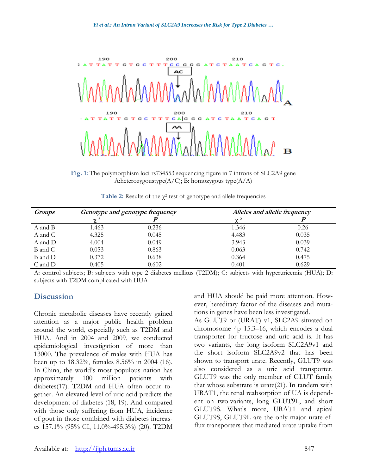

**Fig. 1:** The polymorphism loci rs734553 sequencing figure in 7 introns of SLC2A9 gene A:heterozygoustype $(A/C)$ ; B: homozygous type $(A/A)$ 

| <b>Groups</b> | Genotype and genotype frequency |       | Alleles and allelic frequency |       |
|---------------|---------------------------------|-------|-------------------------------|-------|
|               | $\gamma$ 2                      |       | $\gamma$ <sup>2</sup>         |       |
| A and B       | 1.463                           | 0.236 | 1.346                         | 0.26  |
| A and C       | 4.325                           | 0.045 | 4.483                         | 0.035 |
| A and D       | 4.004                           | 0.049 | 3.943                         | 0.039 |
| B and C       | 0.053                           | 0.863 | 0.063                         | 0.742 |
| B and D       | 0.372                           | 0.638 | 0.364                         | 0.475 |
| C and D       | 0.405                           | 0.602 | 0.401                         | 0.629 |

A: control subjects; B: subjects with type 2 diabetes mellitus (T2DM); C: subjects with hyperuricemia (HUA); D: subjects with T2DM complicated with HUA

### **Discussion**

Chronic metabolic diseases have recently gained attention as a major public health problem around the world, especially such as T2DM and HUA. And in 2004 and 2009, we conducted epidemiological investigation of more than 13000. The prevalence of males with HUA has been up to 18.32%, females 8.56% in 2004 (16). In China, the world's most populous nation has approximately 100 million patients with diabetes(17). T2DM and HUA often occur together. An elevated level of uric acid predicts the development of diabetes (18, 19). And compared with those only suffering from HUA, incidence of gout in those combined with diabetes increases 157.1% (95% CI, 11.0%-495.3%) (20). T2DM

and HUA should be paid more attention. However, hereditary factor of the diseases and mutations in genes have been less investigated.

As GLUT9 or (URAT) v1, SLC2A9 situated on chromosome 4p 15.3–16, which encodes a dual transporter for fructose and uric acid is. It has two variants, the long isoform SLC2A9v1 and the short isoform SLC2A9v2 that has been shown to transport urate. Recently, GLUT9 was also considered as a uric acid transporter. GLUT9 was the only member of GLUT family that whose substrate is urate(21). In tandem with URAT1, the renal reabsorption of UA is dependent on two variants, long GLUT9L, and short GLUT9S. What's more, URAT1 and apical GLUT9S, GLUT9L are the only major urate efflux transporters that mediated urate uptake from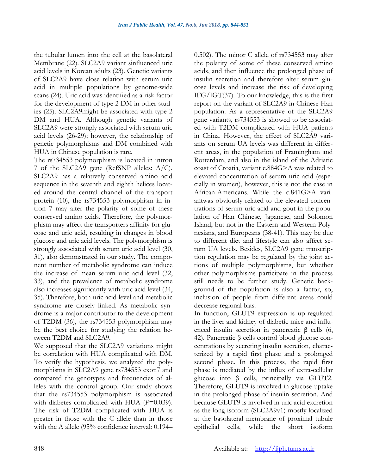the tubular lumen into the cell at the basolateral Membrane (22). SLC2A9 variant sinfluenced uric acid levels in Korean adults (23). Genetic variants of SLC2A9 have close relation with serum uric acid in multiple populations by genome-wide scans (24). Uric acid was identified as a risk factor for the development of type 2 DM in other studies (25). SLC2A9might be associated with type 2 DM and HUA. Although genetic variants of SLC2A9 were strongly associated with serum uric acid levels (26-29); however, the relationship of genetic polymorphisms and DM combined with HUA in Chinese population is rare.

The rs734553 polymorphism is located in intron 7 of the SLC2A9 gene (RefSNP alleles: A/C). SLC2A9 has a relatively conserved amino acid sequence in the seventh and eighth helices located around the central channel of the transport protein (10), the rs734553 polymorphism in intron 7 may alter the polarity of some of these conserved amino acids. Therefore, the polymorphism may affect the transporters affinity for glucose and uric acid, resulting in changes in blood glucose and uric acid levels. The polymorphism is strongly associated with serum uric acid level (30, 31), also demonstrated in our study. The component number of metabolic syndrome can induce the increase of mean serum uric acid level (32, 33), and the prevalence of metabolic syndrome also increases significantly with uric acid level (34, 35). Therefore, both uric acid level and metabolic syndrome are closely linked. As metabolic syndrome is a major contributor to the development of T2DM (36), the rs734553 polymorphism may be the best choice for studying the relation between T2DM and SLC2A9.

We supposed that the SLC2A9 variations might be correlation with HUA complicated with DM. To verify the hypothesis, we analyzed the polymorphisms in SLC2A9 gene rs734553 exon7 and compared the genotypes and frequencies of alleles with the control group. Our study shows that the rs734553 polymorphism is associated with diabetes complicated with HUA ( $P=0.039$ ). The risk of T2DM complicated with HUA is greater in those with the C allele than in those with the A allele (95% confidence interval: 0.194– 0.502). The minor C allele of rs734553 may alter the polarity of some of these conserved amino acids, and then influence the prolonged phase of insulin secretion and therefore alter serum glucose levels and increase the risk of developing IFG/IGT(37). To our knowledge, this is the first report on the variant of SLC2A9 in Chinese Han population. As a representative of the SLC2A9 gene variants, rs734553 is showed to be associated with T2DM complicated with HUA patients in China. However, the effect of SLC2A9 variants on serum UA levels was different in different areas, in the population of Framingham and Rotterdam, and also in the island of the Adriatic coast of Croatia, variant c.884G>A was related to elevated concentration of serum uric acid (especially in women), however, this is not the case in African-Americans. While the c.841G>A variantwas obviously related to the elevated concentrations of serum uric acid and gout in the population of Han Chinese, Japanese, and Solomon Island, but not in the Eastern and Western Polynesians, and Europeans (38-41). This may be due to different diet and lifestyle can also affect serum UA levels. Besides, SLC2A9 gene transcription regulation may be regulated by the joint actions of multiple polymorphisms, but whether other polymorphisms participate in the process still needs to be further study. Genetic background of the population is also a factor, so, inclusion of people from different areas could decrease regional bias.

In function, GLUT9 expression is up-regulated in the liver and kidney of diabetic mice and influenced insulin secretion in pancreatic β cells (6, 42). Pancreatic β cells control blood glucose concentrations by secreting insulin secretion, characterized by a rapid first phase and a prolonged second phase. In this process, the rapid first phase is mediated by the influx of extra-cellular glucose into β cells, principally via GLUT2. Therefore, GLUT9 is involved in glucose uptake in the prolonged phase of insulin secretion. And because GLUT9 is involved in uric acid excretion as the long isoform (SLC2A9v1) mostly localized at the basolateral membrane of proximal tubule epithelial cells, while the short isoform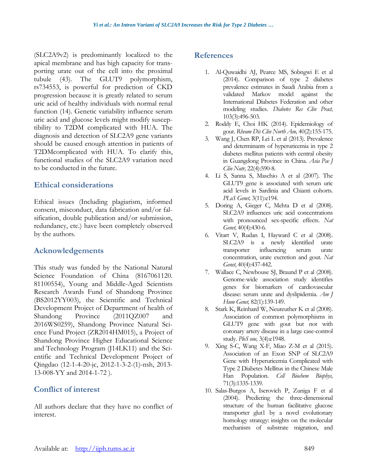(SLC2A9v2) is predominantly localized to the apical membrane and has high capacity for transporting urate out of the cell into the proximal tubule (43). The GLUT9 polymorphism, rs734553, is powerful for prediction of CKD progression because it is greatly related to serum uric acid of healthy individuals with normal renal function (14). Genetic variability influence serum uric acid and glucose levels might modify susceptibility to T2DM complicated with HUA. The diagnosis and detection of SLC2A9 gene variants should be caused enough attention in patients of T2DMcomplicated with HUA. To clarify this, functional studies of the SLC2A9 variation need to be conducted in the future.

#### **Ethical considerations**

Ethical issues (Including plagiarism, informed consent, misconduct, data fabrication and/or falsification, double publication and/or submission, redundancy, etc.) have been completely observed by the authors.

# **Acknowledgements**

This study was funded by the National Natural Science Foundation of China (8167061120. 81100554), Young and Middle-Aged Scientists Research Awards Fund of Shandong Province (BS2012YY003), the Scientific and Technical Development Project of Department of health of Shandong Province (2011QZ007 and 2016WS0259), Shandong Province Natural Science Fund Project (ZR2014HM015), a Project of Shandong Province Higher Educational Science and Technology Program (J14LK11) and the Scientific and Technical Development Project of Qingdao (12-1-4-20-jc, 2012-1-3-2-(1)-nsh, 2013- 13-008-YY and 2014-1-72 ).

# **Conflict of interest**

All authors declare that they have no conflict of interest.

# **References**

- 1. Al-Quwaidhi AJ, Pearce MS, Sobngwi E et al (2014). Comparison of type 2 diabetes prevalence estimates in Saudi Arabia from a validated Markov model against the International Diabetes Federation and other modeling studies. *Diabetes Res Clin Pract,* 103(3):496-503.
- 2. Roddy E, Choi HK (2014). Epidemiology of gout. *Rheum Dis Clin North Am,* 40(2):155-175.
- 3. Wang J, Chen RP, Lei L et al (2013). Prevalence and determinants of hyperuricemia in type 2 diabetes mellitus patients with central obesity in Guangdong Province in China. *Asia Pac J Clin Nutr,* 22(4):590-8.
- 4. Li S, Sanna S, Maschio A et al (2007). The GLUT9 gene is associated with serum uric acid levels in Sardinia and Chianti cohorts. *PLoS Genet,* 3(11):e194.
- 5. Doring A, Gieger C, Mehta D et al (2008). SLC2A9 influences uric acid concentrations with pronounced sex-specific effects. *Nat Genet,* 40(4):430-6.
- 6. Vitart V, Rudan I, Hayward C et al (2008). SLC2A9 is a newly identified urate transporter influencing serum urate concentration, urate excretion and gout. *Nat Genet,* 40(4):437-442.
- 7. Wallace C, Newhouse SJ, Braund P et al (2008). Genome-wide association study identifies genes for biomarkers of cardiovascular disease: serum urate and dyslipidemia. *Am J Hum Genet,* 82(1):139-149.
- 8. Stark K, Reinhard W, Neureuther K et al (2008). Association of common polymorphisms in GLUT9 gene with gout but not with coronary artery disease in a large case-control study. *PloS one,* 3(4):e1948.
- 9. Xing S-C, Wang X-F, Miao Z-M et al (2015). Association of an Exon SNP of SLC2A9 Gene with Hyperuricemia Complicated with Type 2 Diabetes Mellitus in the Chinese Male Han Population. *Cell Biochem Biophys,* 71(3):1335-1339.
- 10. Salas-Burgos A, Iserovich P, Zuniga F et al (2004). Predicting the three-dimensional structure of the human facilitative glucose transporter glut1 by a novel evolutionary homology strategy: insights on the molecular mechanism of substrate migration, and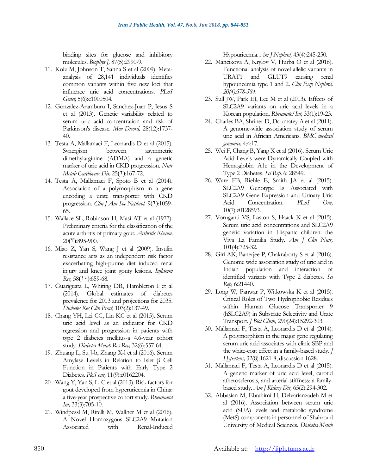binding sites for glucose and inhibitory molecules. *Biophys J,* 87(5):2990-9.

- 11. Kolz M, Johnson T, Sanna S et al (2009). Metaanalysis of 28,141 individuals identifies common variants within five new loci that influence uric acid concentrations. *PLoS Genet,* 5(6):e1000504.
- 12. Gonzalez-Aramburu I, Sanchez-Juan P, Jesus S et al (2013). Genetic variability related to serum uric acid concentration and risk of Parkinson's disease. *Mov Disord,* 28(12):1737- 40.
- 13. Testa A, Mallamaci F, Leonardis D et al (2015). Synergism between asymmetric dimethylarginine (ADMA) and a genetic marker of uric acid in CKD progression. *Nutr Metab Cardiovasc Dis*, 25( $\degree$ ):167-72.
- 14. Testa A, Mallamaci F, Spoto B et al (2014). Association of a polymorphism in a gene encoding a urate transporter with CKD progression. *Clin J Am Soc Nephrol*,  $9(1):1059-$ 65.
- 15. Wallace SL, Robinson H, Masi AT et al (1977). Preliminary criteria for the classification of the acute arthritis of primary gout. *Arthritis Rheum,*  $20(7)$ :895-900.
- 16. Miao Z, Yan S, Wang J et al (2009). Insulin resistance acts as an independent risk factor exacerbating high-purine diet induced renal injury and knee joint gouty lesions. *Inflamm Res,* 58(1,0):659-68.
- 17. Guariguata L, Whiting DR, Hambleton I et al (2014). Global estimates of diabetes prevalence for 2013 and projections for 2035. *Diabetes Res Clin Pract,* 103(2):137-49.
- 18. Chang YH, Lei CC, Lin KC et al (2015). Serum uric acid level as an indicator for CKD regression and progression in patients with type 2 diabetes mellitus-a 4.6-year cohort study. *Diabetes Metab Res Rev,* 32(6):557-64.
- 19. Zhuang L, Su J-b, Zhang X-l et al (2016). Serum Amylase Levels in Relation to Islet β Cell Function in Patients with Early Type 2 Diabetes. *PloS one,* 11(9):e0162204.
- 20. Wang Y, Yan S, Li C et al (2013). Risk factors for gout developed from hyperuricemia in China: a five-year prospective cohort study. *Rheumatol Int,* 33(3):705-10.
- 21. Windpessl M, Ritelli M, Wallner M et al (2016). A Novel Homozygous SLC2A9 Mutation Associated with Renal-Induced

Hypouricemia. *Am J Nephrol,* 43(4):245-250.

- 22. Mancikova A, Krylov V, Hurba O et al (2016). Functional analysis of novel allelic variants in URAT1 and GLUT9 causing renal hypouricemia type 1 and 2. *Clin Exp Nephrol, 20(4):578-584*.
- 23. Sull JW, Park EJ, Lee M et al (2013). Effects of SLC2A9 variants on uric acid levels in a Korean population. *Rheumatol Int,* 33(1):19-23.
- 24. Charles BA, Shriner D, Doumatey A et al (2011). A genome-wide association study of serum uric acid in African Americans. *BMC medical genomics,* 4;4:17.
- 25. Wei F, Chang B, Yang X et al (2016). Serum Uric Acid Levels were Dynamically Coupled with Hemoglobin A1c in the Development of Type 2 Diabetes. *Sci Rep,* 6: 28549.
- 26. Ware EB, Riehle E, Smith JA et al (2015). SLC2A9 Genotype Is Associated with SLC2A9 Gene Expression and Urinary Uric Acid Concentration. *PLoS One,* 10(7):e0128593.
- 27. Voruganti VS, Laston S, Haack K et al (2015). Serum uric acid concentrations and SLC2A9 genetic variation in Hispanic children: the Viva La Familia Study. *Am J Clin Nutr,* 101(4):725-32.
- 28. Giri AK, Banerjee P, Chakraborty S et al (2016). Genome wide association study of uric acid in Indian population and interaction of identified variants with Type 2 diabetes. *Sci Rep,* 6:21440.
- 29. Long W, Panwar P, Witkowska K et al (2015). Critical Roles of Two Hydrophobic Residues within Human Glucose Transporter 9 (hSLC2A9) in Substrate Selectivity and Urate Transport. *J Biol Chem,* 290(24):15292-303.
- 30. Mallamaci F, Testa A, Leonardis D et al (2014). A polymorphism in the major gene regulating serum uric acid associates with clinic SBP and the white-coat effect in a family-based study. *J Hypertens,* 32(8):1621-8; discussion 1628.
- 31. Mallamaci F, Testa A, Leonardis D et al (2015). A genetic marker of uric acid level, carotid atherosclerosis, and arterial stiffness: a familybased study. *Am J Kidney Dis,* 65(2):294-302.
- 32. Abbasian M, Ebrahimi H, Delvarianzadeh M et al (2016). Association between serum uric acid (SUA) levels and metabolic syndrome (MetS) components in personnel of Shahroud University of Medical Sciences. *Diabetes Metab*